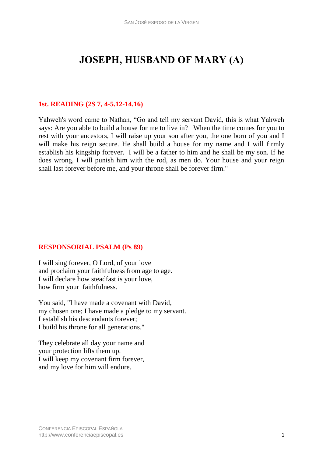# **JOSEPH, HUSBAND OF MARY (A)**

## **1st. READING (2S 7, 4-5.12-14.16)**

Yahweh's word came to Nathan, "Go and tell my servant David, this is what Yahweh says: Are you able to build a house for me to live in? When the time comes for you to rest with your ancestors, I will raise up your son after you, the one born of you and I will make his reign secure. He shall build a house for my name and I will firmly establish his kingship forever. I will be a father to him and he shall be my son. If he does wrong, I will punish him with the rod, as men do. Your house and your reign shall last forever before me, and your throne shall be forever firm."

### **RESPONSORIAL PSALM (Ps 89)**

I will sing forever, O Lord, of your love and proclaim your faithfulness from age to age. I will declare how steadfast is your love, how firm your faithfulness.

You said, "I have made a covenant with David, my chosen one; I have made a pledge to my servant. I establish his descendants forever; I build his throne for all generations."

They celebrate all day your name and your protection lifts them up. I will keep my covenant firm forever, and my love for him will endure.